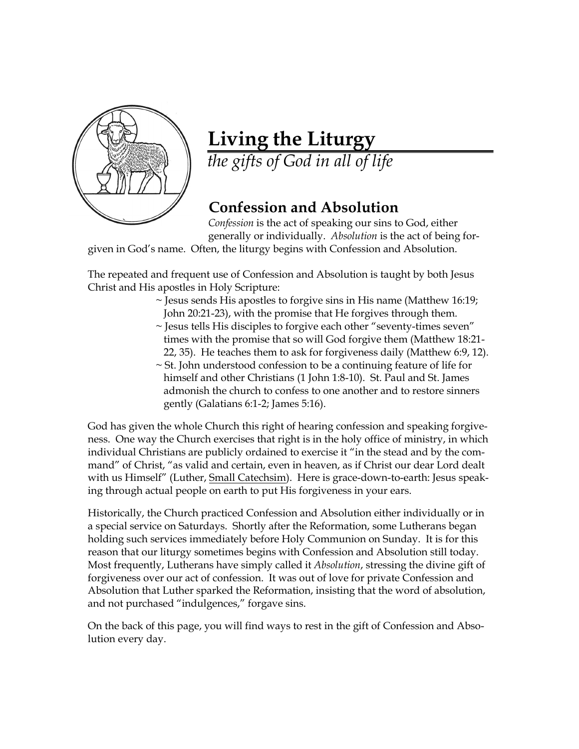

## **Living the Liturgy**

*the gifts of God in all of life*

## **Confession and Absolution**

*` Confession* is the act of speaking our sins to God, either generally or individually. *Absolution* is the act of being for-

given in God's name. Often, the liturgy begins with Confession and Absolution.

The repeated and frequent use of Confession and Absolution is taught by both Jesus Christ and His apostles in Holy Scripture:

- $\sim$  Jesus sends His apostles to forgive sins in His name (Matthew 16:19; John 20:21-23), with the promise that He forgives through them.
- ~ Jesus tells His disciples to forgive each other "seventy-times seven" times with the promise that so will God forgive them (Matthew 18:21- 22, 35). He teaches them to ask for forgiveness daily (Matthew 6:9, 12).
- ~ St. John understood confession to be a continuing feature of life for himself and other Christians (1 John 1:8-10). St. Paul and St. James admonish the church to confess to one another and to restore sinners gently (Galatians 6:1-2; James 5:16).

God has given the whole Church this right of hearing confession and speaking forgiveness. One way the Church exercises that right is in the holy office of ministry, in which individual Christians are publicly ordained to exercise it "in the stead and by the command" of Christ, "as valid and certain, even in heaven, as if Christ our dear Lord dealt with us Himself" (Luther, Small Catechsim). Here is grace-down-to-earth: Jesus speaking through actual people on earth to put His forgiveness in your ears.

Historically, the Church practiced Confession and Absolution either individually or in a special service on Saturdays. Shortly after the Reformation, some Lutherans began holding such services immediately before Holy Communion on Sunday. It is for this reason that our liturgy sometimes begins with Confession and Absolution still today. Most frequently, Lutherans have simply called it *Absolution*, stressing the divine gift of forgiveness over our act of confession. It was out of love for private Confession and Absolution that Luther sparked the Reformation, insisting that the word of absolution, and not purchased "indulgences," forgave sins.

On the back of this page, you will find ways to rest in the gift of Confession and Absolution every day.